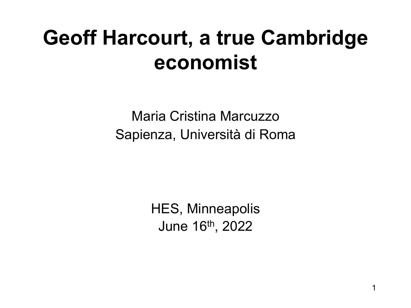#### **Geoff Harcourt, a true Cambridge economist**

Maria Cristina Marcuzzo Sapienza, Università di Roma

> HES, Minneapolis June 16th, 2022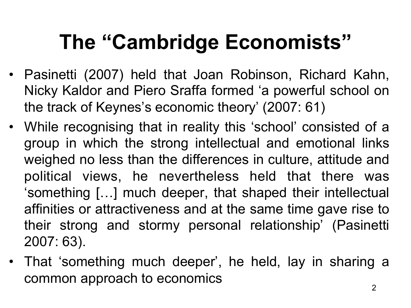## **The "Cambridge Economists"**

- Pasinetti (2007) held that Joan Robinson, Richard Kahn, Nicky Kaldor and Piero Sraffa formed 'a powerful school on the track of Keynes's economic theory' (2007: 61)
- While recognising that in reality this 'school' consisted of a group in which the strong intellectual and emotional links weighed no less than the differences in culture, attitude and political views, he nevertheless held that there was 'something […] much deeper, that shaped their intellectual affinities or attractiveness and at the same time gave rise to their strong and stormy personal relationship' (Pasinetti 2007: 63).
- That 'something much deeper', he held, lay in sharing a common approach to economics  $\frac{2}{2}$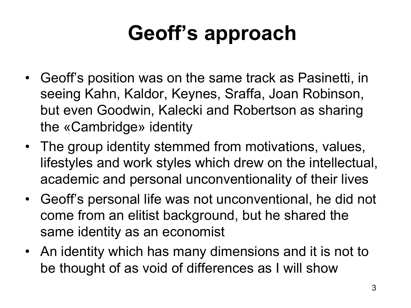#### **Geoff's approach**

- Geoff's position was on the same track as Pasinetti, in seeing Kahn, Kaldor, Keynes, Sraffa, Joan Robinson, but even Goodwin, Kalecki and Robertson as sharing the «Cambridge» identity
- The group identity stemmed from motivations, values, lifestyles and work styles which drew on the intellectual, academic and personal unconventionality of their lives
- Geoff's personal life was not unconventional, he did not come from an elitist background, but he shared the same identity as an economist
- An identity which has many dimensions and it is not to be thought of as void of differences as I will show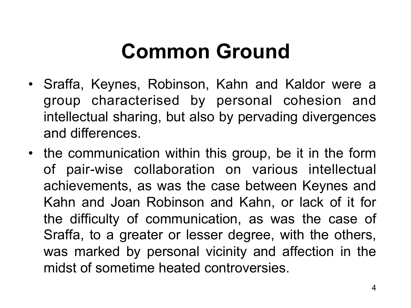#### **Common Ground**

- Sraffa, Keynes, Robinson, Kahn and Kaldor were a group characterised by personal cohesion and intellectual sharing, but also by pervading divergences and differences.
- the communication within this group, be it in the form of pair-wise collaboration on various intellectual achievements, as was the case between Keynes and Kahn and Joan Robinson and Kahn, or lack of it for the difficulty of communication, as was the case of Sraffa, to a greater or lesser degree, with the others, was marked by personal vicinity and affection in the midst of sometime heated controversies.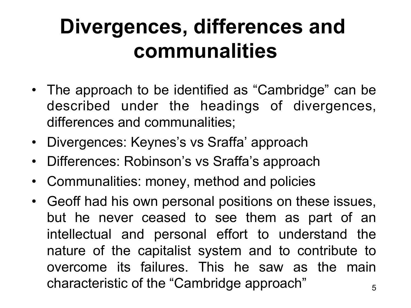#### **Divergences, differences and communalities**

- The approach to be identified as "Cambridge" can be described under the headings of divergences, differences and communalities;
- Divergences: Keynes's vs Sraffa' approach
- Differences: Robinson's vs Sraffa's approach
- Communalities: money, method and policies
- Geoff had his own personal positions on these issues, but he never ceased to see them as part of an intellectual and personal effort to understand the nature of the capitalist system and to contribute to overcome its failures. This he saw as the main characteristic of the "Cambridge approach"  $\frac{5}{5}$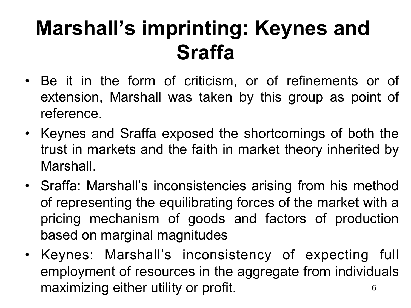#### **Marshall's imprinting: Keynes and Sraffa**

- Be it in the form of criticism, or of refinements or of extension, Marshall was taken by this group as point of reference.
- Keynes and Sraffa exposed the shortcomings of both the trust in markets and the faith in market theory inherited by Marshall.
- Sraffa: Marshall's inconsistencies arising from his method of representing the equilibrating forces of the market with a pricing mechanism of goods and factors of production based on marginal magnitudes
- Keynes: Marshall's inconsistency of expecting full employment of resources in the aggregate from individuals maximizing either utility or profit. The same of  $\epsilon$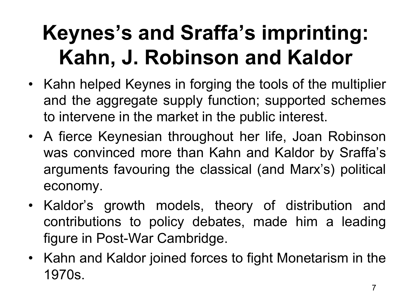## **Keynes's and Sraffa's imprinting: Kahn, J. Robinson and Kaldor**

- Kahn helped Keynes in forging the tools of the multiplier and the aggregate supply function; supported schemes to intervene in the market in the public interest.
- A fierce Keynesian throughout her life, Joan Robinson was convinced more than Kahn and Kaldor by Sraffa's arguments favouring the classical (and Marx's) political economy.
- Kaldor's growth models, theory of distribution and contributions to policy debates, made him a leading figure in Post-War Cambridge.
- Kahn and Kaldor joined forces to fight Monetarism in the 1970s.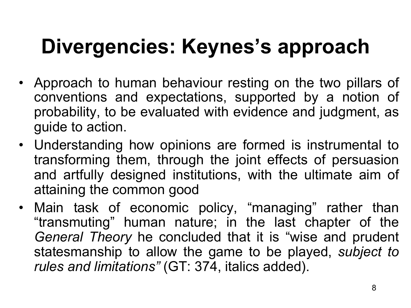## **Divergencies: Keynes's approach**

- Approach to human behaviour resting on the two pillars of conventions and expectations, supported by a notion of probability, to be evaluated with evidence and judgment, as guide to action.
- Understanding how opinions are formed is instrumental to transforming them, through the joint effects of persuasion and artfully designed institutions, with the ultimate aim of attaining the common good
- Main task of economic policy, "managing" rather than "transmuting" human nature; in the last chapter of the *General Theory* he concluded that it is "wise and prudent statesmanship to allow the game to be played, *subject to rules and limitations"* (GT: 374, italics added).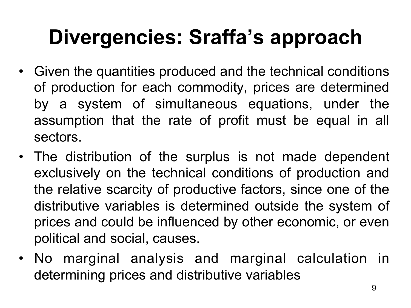## **Divergencies: Sraffa's approach**

- Given the quantities produced and the technical conditions of production for each commodity, prices are determined by a system of simultaneous equations, under the assumption that the rate of profit must be equal in all sectors.
- The distribution of the surplus is not made dependent exclusively on the technical conditions of production and the relative scarcity of productive factors, since one of the distributive variables is determined outside the system of prices and could be influenced by other economic, or even political and social, causes.
- No marginal analysis and marginal calculation in determining prices and distributive variables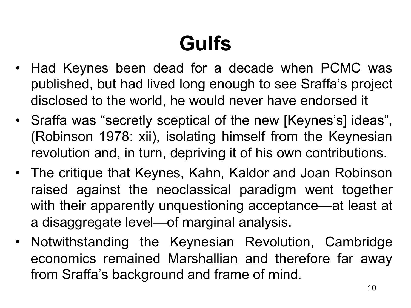# **Gulfs**

- Had Keynes been dead for a decade when PCMC was published, but had lived long enough to see Sraffa's project disclosed to the world, he would never have endorsed it
- Sraffa was "secretly sceptical of the new [Keynes's] ideas", (Robinson 1978: xii), isolating himself from the Keynesian revolution and, in turn, depriving it of his own contributions.
- The critique that Keynes, Kahn, Kaldor and Joan Robinson raised against the neoclassical paradigm went together with their apparently unquestioning acceptance—at least at a disaggregate level—of marginal analysis.
- Notwithstanding the Keynesian Revolution, Cambridge economics remained Marshallian and therefore far away from Sraffa's background and frame of mind.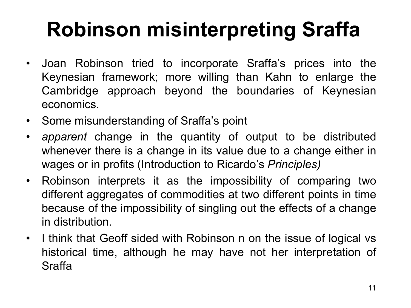# **Robinson misinterpreting Sraffa**

- Joan Robinson tried to incorporate Sraffa's prices into the Keynesian framework; more willing than Kahn to enlarge the Cambridge approach beyond the boundaries of Keynesian economics.
- Some misunderstanding of Sraffa's point
- *apparent* change in the quantity of output to be distributed whenever there is a change in its value due to a change either in wages or in profits (Introduction to Ricardo's *Principles)*
- Robinson interprets it as the impossibility of comparing two different aggregates of commodities at two different points in time because of the impossibility of singling out the effects of a change in distribution.
- I think that Geoff sided with Robinson n on the issue of logical vs historical time, although he may have not her interpretation of Sraffa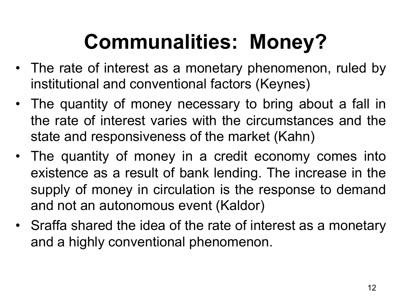# **Communalities: Money?**

- The rate of interest as a monetary phenomenon, ruled by institutional and conventional factors (Keynes)
- The quantity of money necessary to bring about a fall in the rate of interest varies with the circumstances and the state and responsiveness of the market (Kahn)
- The quantity of money in a credit economy comes into existence as a result of bank lending. The increase in the supply of money in circulation is the response to demand and not an autonomous event (Kaldor)
- Sraffa shared the idea of the rate of interest as a monetary and a highly conventional phenomenon.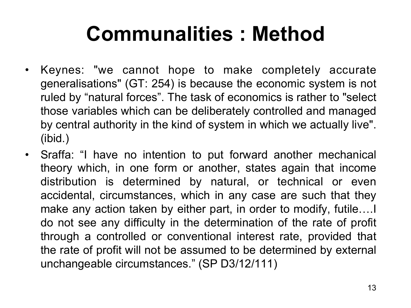#### **Communalities : Method**

- Keynes: "we cannot hope to make completely accurate generalisations" (GT: 254) is because the economic system is not ruled by "natural forces". The task of economics is rather to "select those variables which can be deliberately controlled and managed by central authority in the kind of system in which we actually live". (ibid.)
- Sraffa: "I have no intention to put forward another mechanical theory which, in one form or another, states again that income distribution is determined by natural, or technical or even accidental, circumstances, which in any case are such that they make any action taken by either part, in order to modify, futile….I do not see any difficulty in the determination of the rate of profit through a controlled or conventional interest rate, provided that the rate of profit will not be assumed to be determined by external unchangeable circumstances." (SP D3/12/111)